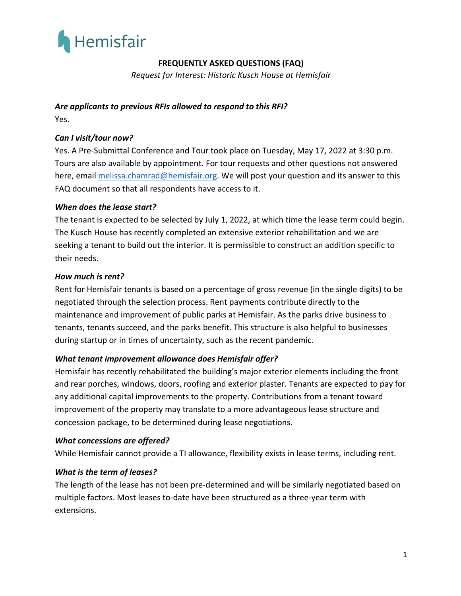

# **FREQUENTLY ASKED QUESTIONS (FAQ)**

*Request for Interest: Historic Kusch House at Hemisfair* 

# *Are applicants to previous RFIs allowed to respond to this RFI?*

Yes.

## *Can I visit/tour now?*

Yes. A Pre-Submittal Conference and Tour took place on Tuesday, May 17, 2022 at 3:30 p.m. Tours are also available by appointment. For tour requests and other questions not answered here, email melissa.chamrad@hemisfair.org. We will post your question and its answer to this FAQ document so that all respondents have access to it.

## *When does the lease start?*

The tenant is expected to be selected by July 1, 2022, at which time the lease term could begin. The Kusch House has recently completed an extensive exterior rehabilitation and we are seeking a tenant to build out the interior. It is permissible to construct an addition specific to their needs.

#### *How much is rent?*

Rent for Hemisfair tenants is based on a percentage of gross revenue (in the single digits) to be negotiated through the selection process. Rent payments contribute directly to the maintenance and improvement of public parks at Hemisfair. As the parks drive business to tenants, tenants succeed, and the parks benefit. This structure is also helpful to businesses during startup or in times of uncertainty, such as the recent pandemic.

#### *What tenant improvement allowance does Hemisfair offer?*

Hemisfair has recently rehabilitated the building's major exterior elements including the front and rear porches, windows, doors, roofing and exterior plaster. Tenants are expected to pay for any additional capital improvements to the property. Contributions from a tenant toward improvement of the property may translate to a more advantageous lease structure and concession package, to be determined during lease negotiations.

#### *What concessions are offered?*

While Hemisfair cannot provide a TI allowance, flexibility exists in lease terms, including rent.

#### *What is the term of leases?*

The length of the lease has not been pre-determined and will be similarly negotiated based on multiple factors. Most leases to-date have been structured as a three-year term with extensions.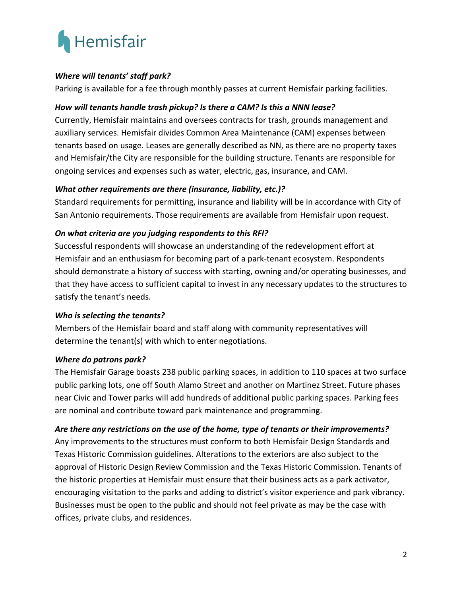

## *Where will tenants' staff park?*

Parking is available for a fee through monthly passes at current Hemisfair parking facilities.

# *How will tenants handle trash pickup? Is there a CAM? Is this a NNN lease?*

Currently, Hemisfair maintains and oversees contracts for trash, grounds management and auxiliary services. Hemisfair divides Common Area Maintenance (CAM) expenses between tenants based on usage. Leases are generally described as NN, as there are no property taxes and Hemisfair/the City are responsible for the building structure. Tenants are responsible for ongoing services and expenses such as water, electric, gas, insurance, and CAM.

## *What other requirements are there (insurance, liability, etc.)?*

Standard requirements for permitting, insurance and liability will be in accordance with City of San Antonio requirements. Those requirements are available from Hemisfair upon request.

## *On what criteria are you judging respondents to this RFI?*

Successful respondents will showcase an understanding of the redevelopment effort at Hemisfair and an enthusiasm for becoming part of a park-tenant ecosystem. Respondents should demonstrate a history of success with starting, owning and/or operating businesses, and that they have access to sufficient capital to invest in any necessary updates to the structures to satisfy the tenant's needs.

## *Who is selecting the tenants?*

Members of the Hemisfair board and staff along with community representatives will determine the tenant(s) with which to enter negotiations.

## *Where do patrons park?*

The Hemisfair Garage boasts 238 public parking spaces, in addition to 110 spaces at two surface public parking lots, one off South Alamo Street and another on Martinez Street. Future phases near Civic and Tower parks will add hundreds of additional public parking spaces. Parking fees are nominal and contribute toward park maintenance and programming.

## *Are there any restrictions on the use of the home, type of tenants or their improvements?*

Any improvements to the structures must conform to both Hemisfair Design Standards and Texas Historic Commission guidelines. Alterations to the exteriors are also subject to the approval of Historic Design Review Commission and the Texas Historic Commission. Tenants of the historic properties at Hemisfair must ensure that their business acts as a park activator, encouraging visitation to the parks and adding to district's visitor experience and park vibrancy. Businesses must be open to the public and should not feel private as may be the case with offices, private clubs, and residences.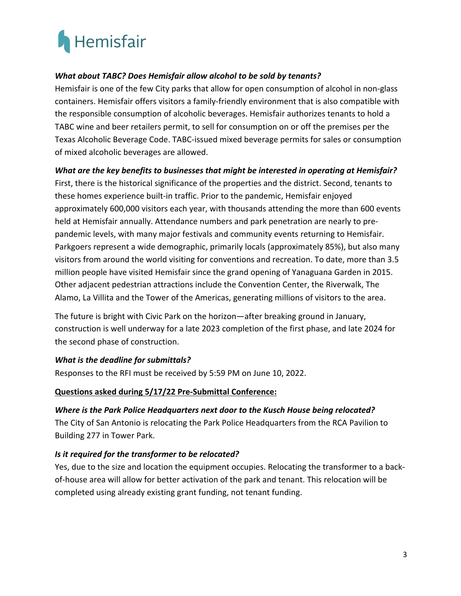

## *What about TABC? Does Hemisfair allow alcohol to be sold by tenants?*

Hemisfair is one of the few City parks that allow for open consumption of alcohol in non-glass containers. Hemisfair offers visitors a family-friendly environment that is also compatible with the responsible consumption of alcoholic beverages. Hemisfair authorizes tenants to hold a TABC wine and beer retailers permit, to sell for consumption on or off the premises per the Texas Alcoholic Beverage Code. TABC-issued mixed beverage permits for sales or consumption of mixed alcoholic beverages are allowed.

## *What are the key benefits to businesses that might be interested in operating at Hemisfair?*

First, there is the historical significance of the properties and the district. Second, tenants to these homes experience built-in traffic. Prior to the pandemic, Hemisfair enjoyed approximately 600,000 visitors each year, with thousands attending the more than 600 events held at Hemisfair annually. Attendance numbers and park penetration are nearly to prepandemic levels, with many major festivals and community events returning to Hemisfair. Parkgoers represent a wide demographic, primarily locals (approximately 85%), but also many visitors from around the world visiting for conventions and recreation. To date, more than 3.5 million people have visited Hemisfair since the grand opening of Yanaguana Garden in 2015. Other adjacent pedestrian attractions include the Convention Center, the Riverwalk, The Alamo, La Villita and the Tower of the Americas, generating millions of visitors to the area.

The future is bright with Civic Park on the horizon—after breaking ground in January, construction is well underway for a late 2023 completion of the first phase, and late 2024 for the second phase of construction.

## *What is the deadline for submittals?*

Responses to the RFI must be received by 5:59 PM on June 10, 2022.

#### **Questions asked during 5/17/22 Pre-Submittal Conference:**

#### *Where is the Park Police Headquarters next door to the Kusch House being relocated?*

The City of San Antonio is relocating the Park Police Headquarters from the RCA Pavilion to Building 277 in Tower Park.

#### *Is it required for the transformer to be relocated?*

Yes, due to the size and location the equipment occupies. Relocating the transformer to a backof-house area will allow for better activation of the park and tenant. This relocation will be completed using already existing grant funding, not tenant funding.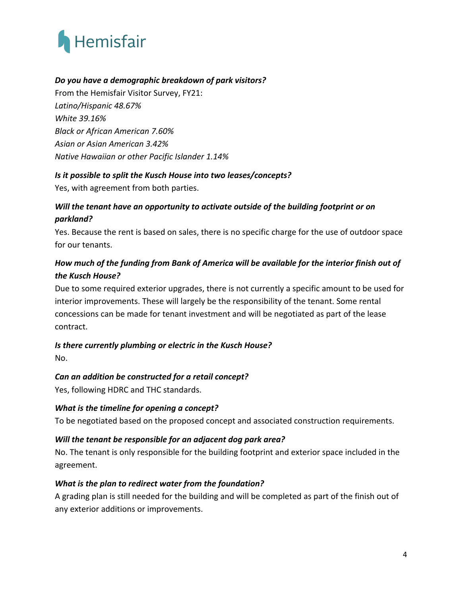

# *Do you have a demographic breakdown of park visitors?*

From the Hemisfair Visitor Survey, FY21: *Latino/Hispanic 48.67% White 39.16% Black or African American 7.60% Asian or Asian American 3.42% Native Hawaiian or other Pacific Islander 1.14%*

#### *Is it possible to split the Kusch House into two leases/concepts?*

Yes, with agreement from both parties.

# *Will the tenant have an opportunity to activate outside of the building footprint or on parkland?*

Yes. Because the rent is based on sales, there is no specific charge for the use of outdoor space for our tenants.

# *How much of the funding from Bank of America will be available for the interior finish out of the Kusch House?*

Due to some required exterior upgrades, there is not currently a specific amount to be used for interior improvements. These will largely be the responsibility of the tenant. Some rental concessions can be made for tenant investment and will be negotiated as part of the lease contract.

## *Is there currently plumbing or electric in the Kusch House?*

No.

## *Can an addition be constructed for a retail concept?*

Yes, following HDRC and THC standards.

## *What is the timeline for opening a concept?*

To be negotiated based on the proposed concept and associated construction requirements.

## *Will the tenant be responsible for an adjacent dog park area?*

No. The tenant is only responsible for the building footprint and exterior space included in the agreement.

## *What is the plan to redirect water from the foundation?*

A grading plan is still needed for the building and will be completed as part of the finish out of any exterior additions or improvements.